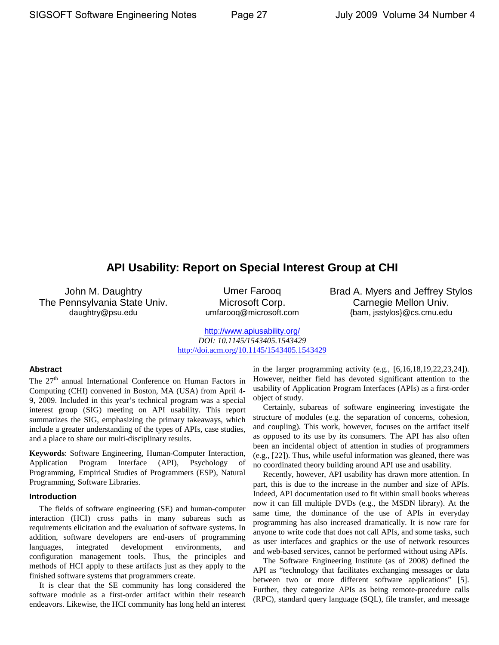# **API Usability: Report on Special Interest Group at CHI**

John M. Daughtry The Pennsylvania State Univ. daughtry@psu.edu

Umer Farooq Microsoft Corp. umfarooq@microsoft.com Brad A. Myers and Jeffrey Stylos Carnegie Mellon Univ. {bam, jsstylos}@cs.cmu.edu

<http://www.apiusability.org/> *DOI: 10.1145/1543405.1543429* http://doi.acm.org/10.1145/1543405.1543429

# **Abstract**

The 27<sup>th</sup> annual International Conference on Human Factors in Computing (CHI) convened in Boston, MA (USA) from April 4- 9, 2009. Included in this year's technical program was a special interest group (SIG) meeting on API usability. This report summarizes the SIG, emphasizing the primary takeaways, which include a greater understanding of the types of APIs, case studies, and a place to share our multi-disciplinary results.

**Keywords**: Software Engineering, Human-Computer Interaction, Application Program Interface (API), Psychology of Programming, Empirical Studies of Programmers (ESP), Natural Programming, Software Libraries.

# **Introduction**

The fields of software engineering (SE) and human-computer interaction (HCI) cross paths in many subareas such as requirements elicitation and the evaluation of software systems. In addition, software developers are end-users of programming languages, integrated development environments, and configuration management tools. Thus, the principles and methods of HCI apply to these artifacts just as they apply to the finished software systems that programmers create.

It is clear that the SE community has long considered the software module as a first-order artifact within their research endeavors. Likewise, the HCI community has long held an interest

in the larger programming activity (e.g., [6,16,18,19,22,23,24]). However, neither field has devoted significant attention to the usability of Application Program Interfaces (APIs) as a first-order object of study.

Certainly, subareas of software engineering investigate the structure of modules (e.g. the separation of concerns, cohesion, and coupling). This work, however, focuses on the artifact itself as opposed to its use by its consumers. The API has also often been an incidental object of attention in studies of programmers (e.g., [22]). Thus, while useful information was gleaned, there was no coordinated theory building around API use and usability.

Recently, however, API usability has drawn more attention. In part, this is due to the increase in the number and size of APIs. Indeed, API documentation used to fit within small books whereas now it can fill multiple DVDs (e.g., the MSDN library). At the same time, the dominance of the use of APIs in everyday programming has also increased dramatically. It is now rare for anyone to write code that does not call APIs, and some tasks, such as user interfaces and graphics or the use of network resources and web-based services, cannot be performed without using APIs.

The Software Engineering Institute (as of 2008) defined the API as "technology that facilitates exchanging messages or data between two or more different software applications" [5]. Further, they categorize APIs as being remote-procedure calls (RPC), standard query language (SQL), file transfer, and message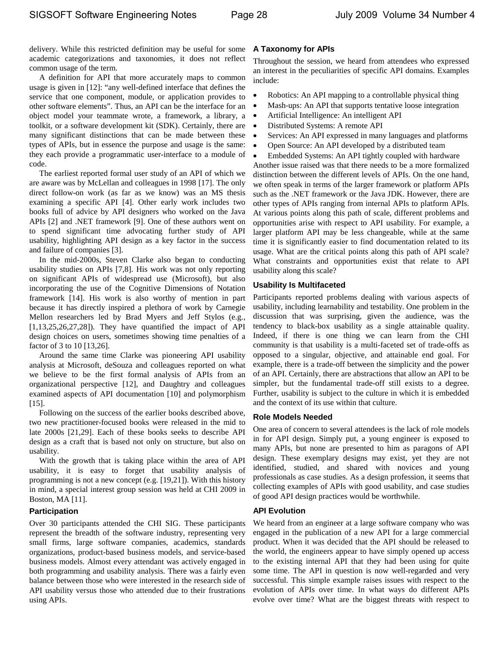delivery. While this restricted definition may be useful for some academic categorizations and taxonomies, it does not reflect common usage of the term.

A definition for API that more accurately maps to common usage is given in [12]: "any well-defined interface that defines the service that one component, module, or application provides to other software elements". Thus, an API can be the interface for an object model your teammate wrote, a framework, a library, a toolkit, or a software development kit (SDK). Certainly, there are many significant distinctions that can be made between these types of APIs, but in essence the purpose and usage is the same: they each provide a programmatic user-interface to a module of code.

The earliest reported formal user study of an API of which we are aware was by McLellan and colleagues in 1998 [17]. The only direct follow-on work (as far as we know) was an MS thesis examining a specific API [4]. Other early work includes two books full of advice by API designers who worked on the Java APIs [2] and .NET framework [9]. One of these authors went on to spend significant time advocating further study of API usability, highlighting API design as a key factor in the success and failure of companies [3].

In the mid-2000s, Steven Clarke also began to conducting usability studies on APIs [7,8]. His work was not only reporting on significant APIs of widespread use (Microsoft), but also incorporating the use of the Cognitive Dimensions of Notation framework [14]. His work is also worthy of mention in part because it has directly inspired a plethora of work by Carnegie Mellon researchers led by Brad Myers and Jeff Stylos (e.g.,  $[1,13,25,26,27,28]$ . They have quantified the impact of API design choices on users, sometimes showing time penalties of a factor of 3 to 10 [13,26].

Around the same time Clarke was pioneering API usability analysis at Microsoft, deSouza and colleagues reported on what we believe to be the first formal analysis of APIs from an organizational perspective [12], and Daughtry and colleagues examined aspects of API documentation [10] and polymorphism [15].

Following on the success of the earlier books described above, two new practitioner-focused books were released in the mid to late 2000s [21,29]. Each of these books seeks to describe API design as a craft that is based not only on structure, but also on usability.

With the growth that is taking place within the area of API usability, it is easy to forget that usability analysis of programming is not a new concept (e.g. [19,21]). With this history in mind, a special interest group session was held at CHI 2009 in Boston, MA [11].

# **Participation**

Over 30 participants attended the CHI SIG. These participants represent the breadth of the software industry, representing very small firms, large software companies, academics, standards organizations, product-based business models, and service-based business models. Almost every attendant was actively engaged in both programming and usability analysis. There was a fairly even balance between those who were interested in the research side of API usability versus those who attended due to their frustrations using APIs.

# **A Taxonomy for APIs**

Throughout the session, we heard from attendees who expressed an interest in the peculiarities of specific API domains. Examples include:

- Robotics: An API mapping to a controllable physical thing
- Mash-ups: An API that supports tentative loose integration
- Artificial Intelligence: An intelligent API
- Distributed Systems: A remote API
- Services: An API expressed in many languages and platforms
- Open Source: An API developed by a distributed team

• Embedded Systems: An API tightly coupled with hardware Another issue raised was that there needs to be a more formalized distinction between the different levels of APIs. On the one hand, we often speak in terms of the larger framework or platform APIs such as the .NET framework or the Java JDK. However, there are other types of APIs ranging from internal APIs to platform APIs. At various points along this path of scale, different problems and opportunities arise with respect to API usability. For example, a larger platform API may be less changeable, while at the same time it is significantly easier to find documentation related to its usage. What are the critical points along this path of API scale? What constraints and opportunities exist that relate to API usability along this scale?

# **Usability Is Multifaceted**

Participants reported problems dealing with various aspects of usability, including learnability and testability. One problem in the discussion that was surprising, given the audience, was the tendency to black-box usability as a single attainable quality. Indeed, if there is one thing we can learn from the CHI community is that usability is a multi-faceted set of trade-offs as opposed to a singular, objective, and attainable end goal. For example, there is a trade-off between the simplicity and the power of an API. Certainly, there are abstractions that allow an API to be simpler, but the fundamental trade-off still exists to a degree. Further, usability is subject to the culture in which it is embedded and the context of its use within that culture.

# **Role Models Needed**

One area of concern to several attendees is the lack of role models in for API design. Simply put, a young engineer is exposed to many APIs, but none are presented to him as paragons of API design. These exemplary designs may exist, yet they are not identified, studied, and shared with novices and young professionals as case studies. As a design profession, it seems that collecting examples of APIs with good usability, and case studies of good API design practices would be worthwhile.

# **API Evolution**

We heard from an engineer at a large software company who was engaged in the publication of a new API for a large commercial product. When it was decided that the API should be released to the world, the engineers appear to have simply opened up access to the existing internal API that they had been using for quite some time. The API in question is now well-regarded and very successful. This simple example raises issues with respect to the evolution of APIs over time. In what ways do different APIs evolve over time? What are the biggest threats with respect to